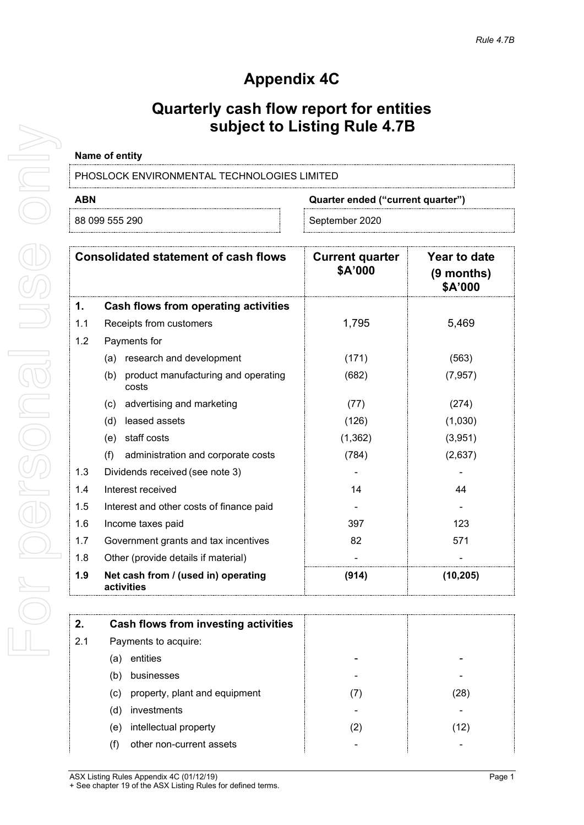# **Appendix 4C**

## **Quarterly cash flow report for entities subject to Listing Rule 4.7B**

### **Name of entity**

PHOSLOCK ENVIRONMENTAL TECHNOLOGIES LIMITED

## **ABN Quarter ended ("current quarter")**

88 099 555 290 September 2020

| <b>Consolidated statement of cash flows</b> |                                                     | <b>Current quarter</b><br>\$A'000 | Year to date<br>$(9$ months)<br>\$A'000 |
|---------------------------------------------|-----------------------------------------------------|-----------------------------------|-----------------------------------------|
| 1.                                          | Cash flows from operating activities                |                                   |                                         |
| 1.1                                         | Receipts from customers                             | 1,795                             | 5,469                                   |
| 1.2                                         | Payments for                                        |                                   |                                         |
|                                             | research and development<br>(a)                     | (171)                             | (563)                                   |
|                                             | product manufacturing and operating<br>(b)<br>costs | (682)                             | (7, 957)                                |
|                                             | advertising and marketing<br>(c)                    | (77)                              | (274)                                   |
|                                             | (d)<br>leased assets                                | (126)                             | (1,030)                                 |
|                                             | staff costs<br>(e)                                  | (1, 362)                          | (3,951)                                 |
|                                             | (f)<br>administration and corporate costs           | (784)                             | (2,637)                                 |
| 1.3                                         | Dividends received (see note 3)                     |                                   |                                         |
| 1.4                                         | Interest received                                   | 14                                | 44                                      |
| 1.5                                         | Interest and other costs of finance paid            |                                   |                                         |
| 1.6                                         | Income taxes paid                                   | 397                               | 123                                     |
| 1.7                                         | Government grants and tax incentives                | 82                                | 571                                     |
| 1.8                                         | Other (provide details if material)                 |                                   |                                         |
| 1.9                                         | Net cash from / (used in) operating<br>activities   | (914)                             | (10, 205)                               |

| 2.  | Cash flows from investing activities |   |     |
|-----|--------------------------------------|---|-----|
| 2.1 | Payments to acquire:                 |   |     |
|     | entities<br>la.                      |   |     |
|     | businesses<br>(b                     |   |     |
|     | property, plant and equipment<br>(c) |   | 28  |
|     | investments<br>(d)                   |   |     |
|     | intellectual property<br>(e)         | 2 | 12) |
|     | other non-current assets<br>(†)      |   |     |

ASX Listing Rules Appendix 4C (01/12/19) **Page 1** + See chapter 19 of the ASX Listing Rules for defined terms.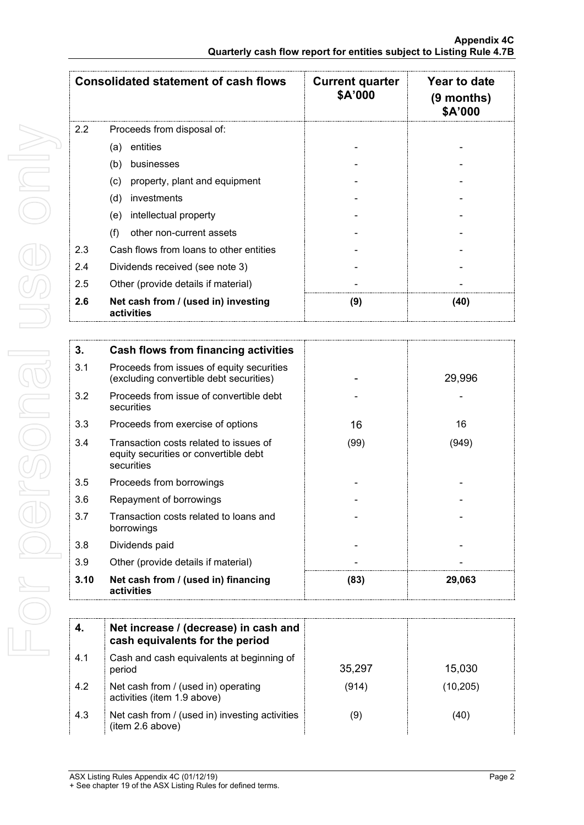| <b>Consolidated statement of cash flows</b> |                                                   | <b>Current quarter</b><br>\$A'000 | Year to date<br>$(9$ months)<br>\$A'000 |
|---------------------------------------------|---------------------------------------------------|-----------------------------------|-----------------------------------------|
| $2.2^{\circ}$                               | Proceeds from disposal of:                        |                                   |                                         |
|                                             | entities<br>(a)                                   |                                   |                                         |
|                                             | (b)<br>businesses                                 |                                   |                                         |
|                                             | property, plant and equipment<br>(c)              |                                   |                                         |
|                                             | (d)<br>investments                                |                                   |                                         |
|                                             | intellectual property<br>(e)                      |                                   |                                         |
|                                             | (f)<br>other non-current assets                   |                                   |                                         |
| 2.3                                         | Cash flows from loans to other entities           |                                   |                                         |
| 2.4                                         | Dividends received (see note 3)                   |                                   |                                         |
| 2.5                                         | Other (provide details if material)               |                                   |                                         |
| 2.6                                         | Net cash from / (used in) investing<br>activities | (9)                               | (40)                                    |

| 3.   | Cash flows from financing activities                                                          |      |        |
|------|-----------------------------------------------------------------------------------------------|------|--------|
| 3.1  | Proceeds from issues of equity securities<br>(excluding convertible debt securities)          |      | 29,996 |
| 3.2  | Proceeds from issue of convertible debt<br>securities                                         |      |        |
| 3.3  | Proceeds from exercise of options                                                             | 16   | 16     |
| 3.4  | Transaction costs related to issues of<br>equity securities or convertible debt<br>securities | (99) | (949)  |
| 3.5  | Proceeds from borrowings                                                                      |      |        |
| 3.6  | Repayment of borrowings                                                                       |      |        |
| 3.7  | Transaction costs related to loans and<br>borrowings                                          |      |        |
| 3.8  | Dividends paid                                                                                |      |        |
| 3.9  | Other (provide details if material)                                                           |      |        |
| 3.10 | Net cash from / (used in) financing<br>activities                                             | (83) | 29,063 |

|      | Net increase / (decrease) in cash and<br>cash equivalents for the period |        |          |
|------|--------------------------------------------------------------------------|--------|----------|
| -4.1 | Cash and cash equivalents at beginning of<br>period                      | 35,297 | 15,030   |
| 4.2  | Net cash from / (used in) operating<br>activities (item 1.9 above)       | (914)  | (10,205) |
| 4.3  | Net cash from / (used in) investing activities<br>(item 2.6 above)       | (9)    | (40)     |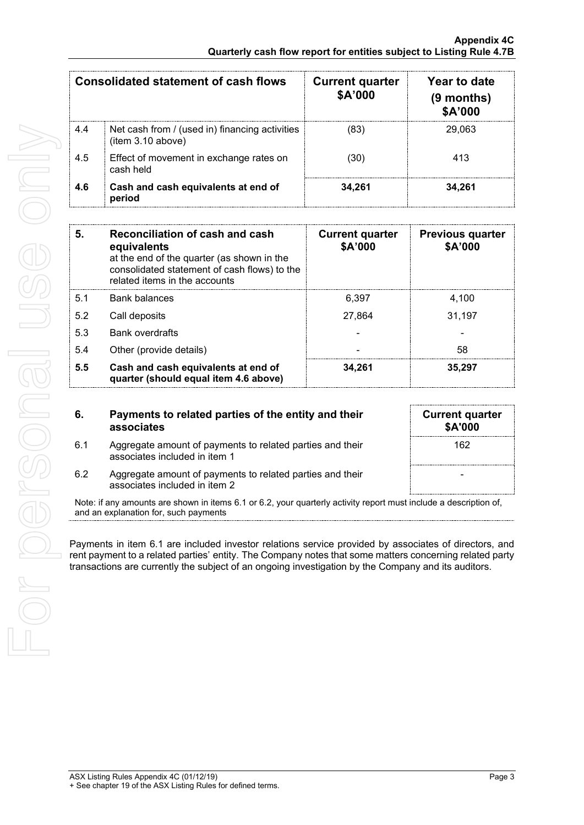|     | Consolidated statement of cash flows                                | <b>Current quarter</b><br>\$A'000 | Year to date<br>$(9$ months)<br>\$A'000 |
|-----|---------------------------------------------------------------------|-----------------------------------|-----------------------------------------|
| 4.4 | Net cash from / (used in) financing activities<br>(item 3.10 above) | (83)                              | 29.063                                  |
| 4.5 | Effect of movement in exchange rates on<br>cash held                | (30)                              | 413                                     |
| 4.6 | Cash and cash equivalents at end of<br>period                       | 34.261                            | 34,261                                  |

| 5.  | Reconciliation of cash and cash<br>equivalents<br>at the end of the quarter (as shown in the<br>consolidated statement of cash flows) to the<br>related items in the accounts | <b>Current quarter</b><br>\$A'000 | <b>Previous quarter</b><br>\$A'000 |
|-----|-------------------------------------------------------------------------------------------------------------------------------------------------------------------------------|-----------------------------------|------------------------------------|
| 5.1 | Bank balances                                                                                                                                                                 | 6.397                             | 4,100                              |
| 5.2 | Call deposits                                                                                                                                                                 | 27.864                            | 31,197                             |
| 5.3 | <b>Bank overdrafts</b>                                                                                                                                                        |                                   |                                    |
| 5.4 | Other (provide details)                                                                                                                                                       |                                   | 58                                 |
| 5.5 | Cash and cash equivalents at end of<br>quarter (should equal item 4.6 above)                                                                                                  | 34.261                            | 35.297                             |

- **6. Payments to related parties of the entity and their associates**
- 6.1 Aggregate amount of payments to related parties and their associates included in item 1

| \$A'000 | <b>Current quarter</b> |
|---------|------------------------|
| 162     |                        |
|         |                        |
|         |                        |

6.2 Aggregate amount of payments to related parties and their associates included in item 2

Note: if any amounts are shown in items 6.1 or 6.2, your quarterly activity report must include a description of, and an explanation for, such payments

Payments in item 6.1 are included investor relations service provided by associates of directors, and rent payment to a related parties' entity. The Company notes that some matters concerning related party transactions are currently the subject of an ongoing investigation by the Company and its auditors.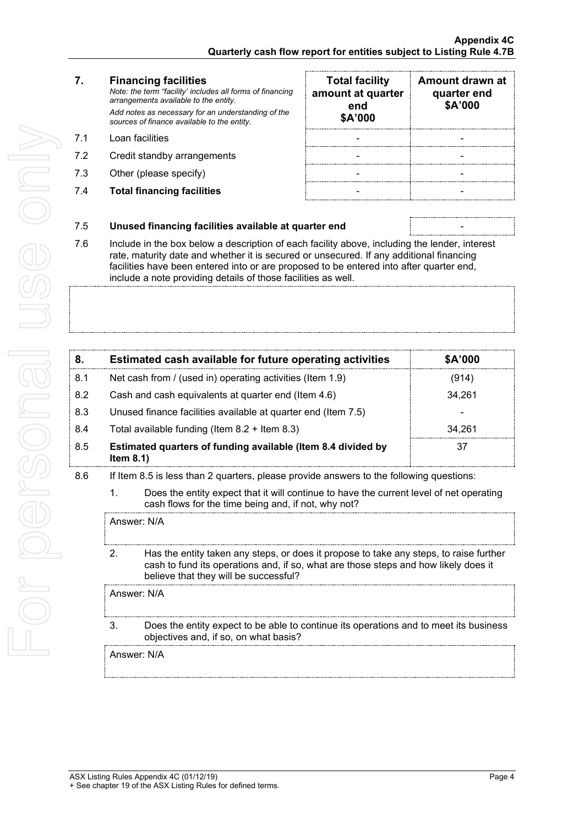For personal use only For personal use ond

### **7. Financing facilities**

*Note: the term "facility' includes all forms of financing arrangements available to the entity. Add notes as necessary for an understanding of the sources of finance available to the entity.*

- 7.1 Loan facilities
- 7.2 Credit standby arrangements
- 7.3 Other (please specify)
- 7.4 **Total financing facilities** -

| <b>Total facility</b><br>amount at quarter<br>end<br>\$A'000 | Amount drawn at<br>quarter end<br>\$A'000 |
|--------------------------------------------------------------|-------------------------------------------|
|                                                              |                                           |
|                                                              |                                           |
|                                                              |                                           |
|                                                              |                                           |

## 7.5 **Unused financing facilities available at quarter end** -

7.6 Include in the box below a description of each facility above, including the lender, interest rate, maturity date and whether it is secured or unsecured. If any additional financing facilities have been entered into or are proposed to be entered into after quarter end, include a note providing details of those facilities as well.

|     | Estimated cash available for future operating activities                     | \$A'000 |
|-----|------------------------------------------------------------------------------|---------|
| 8.1 | Net cash from / (used in) operating activities (Item 1.9)                    | (914)   |
| 8.2 | Cash and cash equivalents at quarter end (Item 4.6)                          | 34.261  |
| 8.3 | Unused finance facilities available at quarter end (Item 7.5)                |         |
| 8.4 | Total available funding (Item $8.2 +$ Item $8.3$ )                           | 34.261  |
| 8.5 | Estimated quarters of funding available (Item 8.4 divided by<br>Item $8.1$ ) | 37      |

- 8.6 If Item 8.5 is less than 2 quarters, please provide answers to the following questions:
	- 1. Does the entity expect that it will continue to have the current level of net operating cash flows for the time being and, if not, why not?

Answer: N/A

2. Has the entity taken any steps, or does it propose to take any steps, to raise further cash to fund its operations and, if so, what are those steps and how likely does it believe that they will be successful?

Answer: N/A

3. Does the entity expect to be able to continue its operations and to meet its business objectives and, if so, on what basis?

Answer: N/A